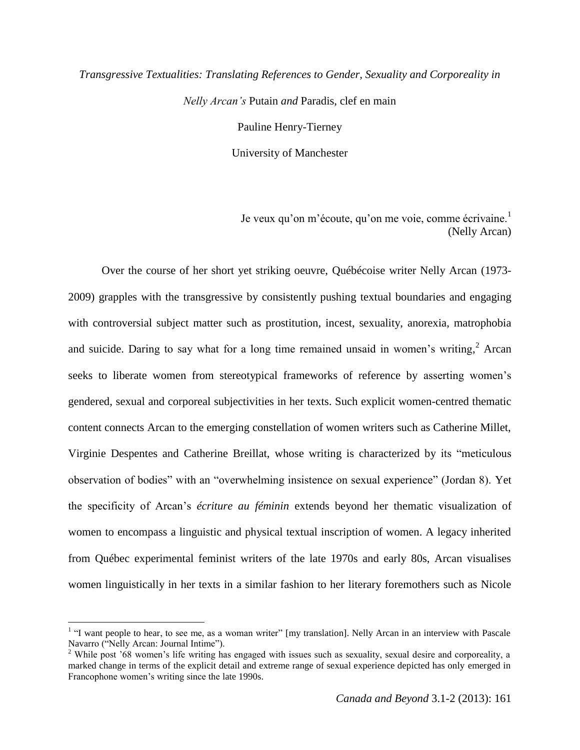# *Transgressive Textualities: Translating References to Gender, Sexuality and Corporeality in Nelly Arcan's* Putain *and* Paradis, clef en main Pauline Henry-Tierney

University of Manchester

Je veux qu'on m'écoute, qu'on me voie, comme écrivaine.<sup>1</sup> (Nelly Arcan)

Over the course of her short yet striking oeuvre, Québécoise writer Nelly Arcan (1973- 2009) grapples with the transgressive by consistently pushing textual boundaries and engaging with controversial subject matter such as prostitution, incest, sexuality, anorexia, matrophobia and suicide. Daring to say what for a long time remained unsaid in women's writing, $<sup>2</sup>$  Arcan</sup> seeks to liberate women from stereotypical frameworks of reference by asserting women's gendered, sexual and corporeal subjectivities in her texts. Such explicit women-centred thematic content connects Arcan to the emerging constellation of women writers such as Catherine Millet, Virginie Despentes and Catherine Breillat, whose writing is characterized by its "meticulous observation of bodies" with an "overwhelming insistence on sexual experience" (Jordan 8). Yet the specificity of Arcan's *écriture au féminin* extends beyond her thematic visualization of women to encompass a linguistic and physical textual inscription of women. A legacy inherited from Québec experimental feminist writers of the late 1970s and early 80s, Arcan visualises women linguistically in her texts in a similar fashion to her literary foremothers such as Nicole

 $\overline{a}$ 

<sup>&</sup>lt;sup>1</sup> "I want people to hear, to see me, as a woman writer" [my translation]. Nelly Arcan in an interview with Pascale Navarro ("Nelly Arcan: Journal Intime").

<sup>&</sup>lt;sup>2</sup> While post '68 women's life writing has engaged with issues such as sexuality, sexual desire and corporeality, a marked change in terms of the explicit detail and extreme range of sexual experience depicted has only emerged in Francophone women's writing since the late 1990s.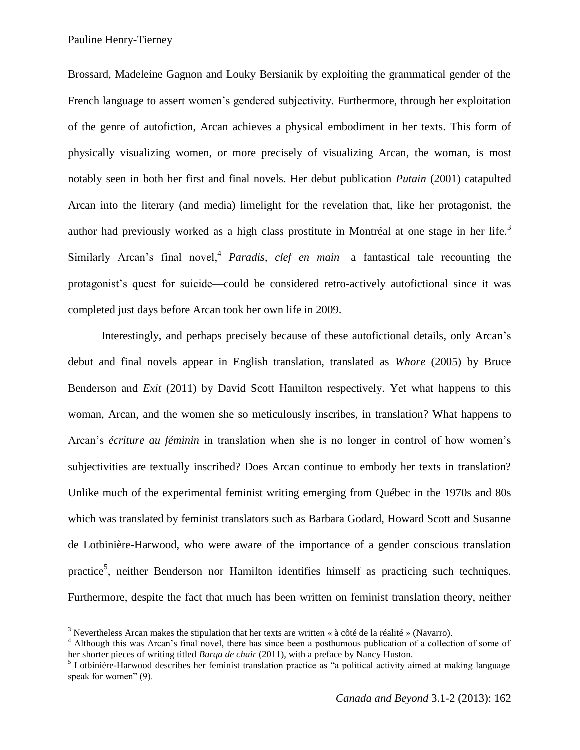Pauline Henry-Tierney

 $\overline{a}$ 

Brossard, Madeleine Gagnon and Louky Bersianik by exploiting the grammatical gender of the French language to assert women's gendered subjectivity. Furthermore, through her exploitation of the genre of autofiction, Arcan achieves a physical embodiment in her texts. This form of physically visualizing women, or more precisely of visualizing Arcan, the woman, is most notably seen in both her first and final novels. Her debut publication *Putain* (2001) catapulted Arcan into the literary (and media) limelight for the revelation that, like her protagonist, the author had previously worked as a high class prostitute in Montréal at one stage in her life.<sup>3</sup> Similarly Arcan's final novel,<sup>4</sup> Paradis, clef en main—a fantastical tale recounting the protagonist's quest for suicide—could be considered retro-actively autofictional since it was completed just days before Arcan took her own life in 2009.

Interestingly, and perhaps precisely because of these autofictional details, only Arcan's debut and final novels appear in English translation, translated as *Whore* (2005) by Bruce Benderson and *Exit* (2011) by David Scott Hamilton respectively. Yet what happens to this woman, Arcan, and the women she so meticulously inscribes, in translation? What happens to Arcan's *écriture au féminin* in translation when she is no longer in control of how women's subjectivities are textually inscribed? Does Arcan continue to embody her texts in translation? Unlike much of the experimental feminist writing emerging from Québec in the 1970s and 80s which was translated by feminist translators such as Barbara Godard, Howard Scott and Susanne de Lotbinière-Harwood, who were aware of the importance of a gender conscious translation practice<sup>5</sup>, neither Benderson nor Hamilton identifies himself as practicing such techniques. Furthermore, despite the fact that much has been written on feminist translation theory, neither

<sup>&</sup>lt;sup>3</sup> Nevertheless Arcan makes the stipulation that her texts are written « à côté de la réalité » (Navarro).

<sup>&</sup>lt;sup>4</sup> Although this was Arcan's final novel, there has since been a posthumous publication of a collection of some of her shorter pieces of writing titled *Burqa de chair* (2011), with a preface by Nancy Huston.

<sup>&</sup>lt;sup>5</sup> Lotbinière-Harwood describes her feminist translation practice as "a political activity aimed at making language speak for women" (9).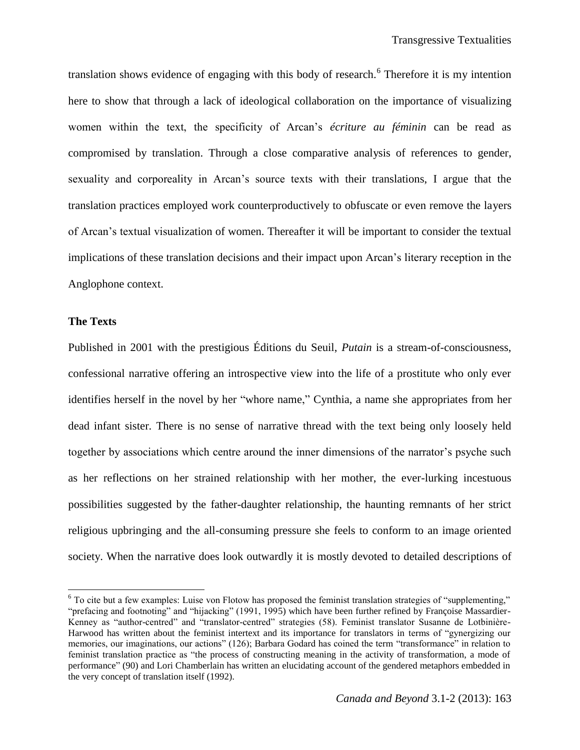translation shows evidence of engaging with this body of research.<sup>6</sup> Therefore it is my intention here to show that through a lack of ideological collaboration on the importance of visualizing women within the text, the specificity of Arcan's *écriture au féminin* can be read as compromised by translation. Through a close comparative analysis of references to gender, sexuality and corporeality in Arcan's source texts with their translations, I argue that the translation practices employed work counterproductively to obfuscate or even remove the layers of Arcan's textual visualization of women. Thereafter it will be important to consider the textual implications of these translation decisions and their impact upon Arcan's literary reception in the Anglophone context.

#### **The Texts**

 $\overline{a}$ 

Published in 2001 with the prestigious Éditions du Seuil, *Putain* is a stream-of-consciousness, confessional narrative offering an introspective view into the life of a prostitute who only ever identifies herself in the novel by her "whore name," Cynthia, a name she appropriates from her dead infant sister. There is no sense of narrative thread with the text being only loosely held together by associations which centre around the inner dimensions of the narrator's psyche such as her reflections on her strained relationship with her mother, the ever-lurking incestuous possibilities suggested by the father-daughter relationship, the haunting remnants of her strict religious upbringing and the all-consuming pressure she feels to conform to an image oriented society. When the narrative does look outwardly it is mostly devoted to detailed descriptions of

 $6$  To cite but a few examples: Luise von Flotow has proposed the feminist translation strategies of "supplementing," "prefacing and footnoting" and "hijacking" (1991, 1995) which have been further refined by Françoise Massardier-Kenney as "author-centred" and "translator-centred" strategies (58). Feminist translator Susanne de Lotbinière-Harwood has written about the feminist intertext and its importance for translators in terms of "gynergizing our memories, our imaginations, our actions" (126); Barbara Godard has coined the term "transformance" in relation to feminist translation practice as "the process of constructing meaning in the activity of transformation, a mode of performance" (90) and Lori Chamberlain has written an elucidating account of the gendered metaphors embedded in the very concept of translation itself (1992).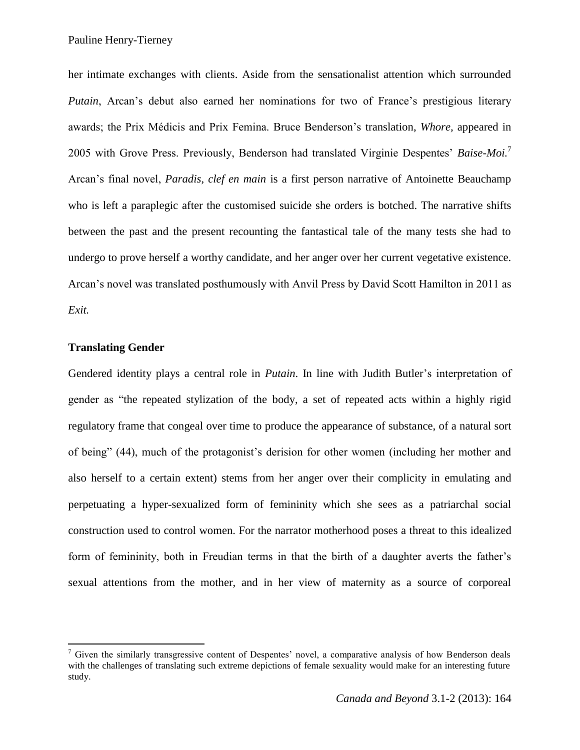Pauline Henry-Tierney

her intimate exchanges with clients. Aside from the sensationalist attention which surrounded *Putain*, Arcan's debut also earned her nominations for two of France's prestigious literary awards; the Prix Médicis and Prix Femina. Bruce Benderson's translation, *Whore,* appeared in 2005 with Grove Press. Previously, Benderson had translated Virginie Despentes' *Baise-Moi.*<sup>7</sup> Arcan's final novel, *Paradis, clef en main* is a first person narrative of Antoinette Beauchamp who is left a paraplegic after the customised suicide she orders is botched. The narrative shifts between the past and the present recounting the fantastical tale of the many tests she had to undergo to prove herself a worthy candidate, and her anger over her current vegetative existence. Arcan's novel was translated posthumously with Anvil Press by David Scott Hamilton in 2011 as *Exit.* 

### **Translating Gender**

 $\overline{\phantom{a}}$ 

Gendered identity plays a central role in *Putain*. In line with Judith Butler's interpretation of gender as "the repeated stylization of the body, a set of repeated acts within a highly rigid regulatory frame that congeal over time to produce the appearance of substance, of a natural sort of being" (44), much of the protagonist's derision for other women (including her mother and also herself to a certain extent) stems from her anger over their complicity in emulating and perpetuating a hyper-sexualized form of femininity which she sees as a patriarchal social construction used to control women. For the narrator motherhood poses a threat to this idealized form of femininity, both in Freudian terms in that the birth of a daughter averts the father's sexual attentions from the mother, and in her view of maternity as a source of corporeal

<sup>&</sup>lt;sup>7</sup> Given the similarly transgressive content of Despentes' novel, a comparative analysis of how Benderson deals with the challenges of translating such extreme depictions of female sexuality would make for an interesting future study.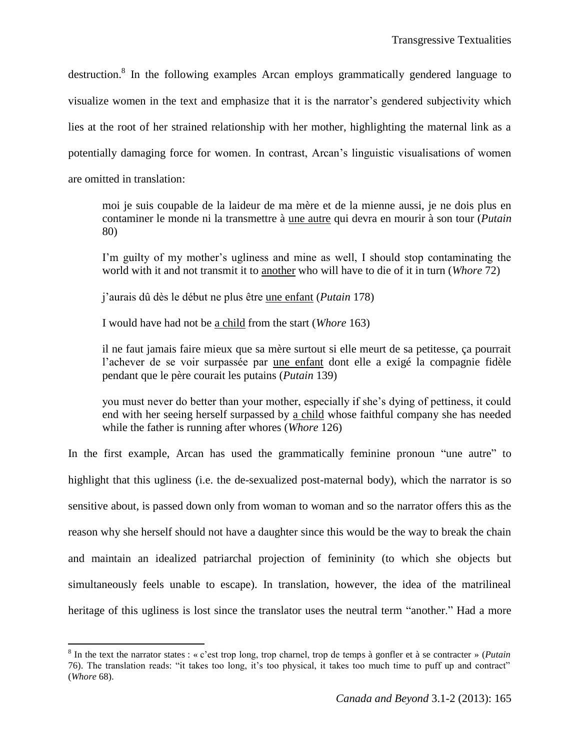destruction.<sup>8</sup> In the following examples Arcan employs grammatically gendered language to visualize women in the text and emphasize that it is the narrator's gendered subjectivity which lies at the root of her strained relationship with her mother, highlighting the maternal link as a potentially damaging force for women. In contrast, Arcan's linguistic visualisations of women are omitted in translation:

moi je suis coupable de la laideur de ma mère et de la mienne aussi, je ne dois plus en contaminer le monde ni la transmettre à une autre qui devra en mourir à son tour (*Putain*  80)

I'm guilty of my mother's ugliness and mine as well, I should stop contaminating the world with it and not transmit it to another who will have to die of it in turn (*Whore* 72)

j'aurais dû dès le début ne plus être une enfant (*Putain* 178)

I would have had not be a child from the start (*Whore* 163)

il ne faut jamais faire mieux que sa mère surtout si elle meurt de sa petitesse, ça pourrait l'achever de se voir surpassée par une enfant dont elle a exigé la compagnie fidèle pendant que le père courait les putains (*Putain* 139)

you must never do better than your mother, especially if she's dying of pettiness, it could end with her seeing herself surpassed by a child whose faithful company she has needed while the father is running after whores (*Whore* 126)

In the first example, Arcan has used the grammatically feminine pronoun "une autre" to highlight that this ugliness (i.e. the de-sexualized post-maternal body), which the narrator is so sensitive about, is passed down only from woman to woman and so the narrator offers this as the reason why she herself should not have a daughter since this would be the way to break the chain and maintain an idealized patriarchal projection of femininity (to which she objects but simultaneously feels unable to escape). In translation, however, the idea of the matrilineal heritage of this ugliness is lost since the translator uses the neutral term "another." Had a more

 $\overline{\phantom{a}}$ 

 $8 \text{ In the text the narrower states : } \& c \text{'est trop long, trop channel, trop de temps à gonfler et à se contracter } \& (Putain)$ 76). The translation reads: "it takes too long, it's too physical, it takes too much time to puff up and contract" (*Whore* 68).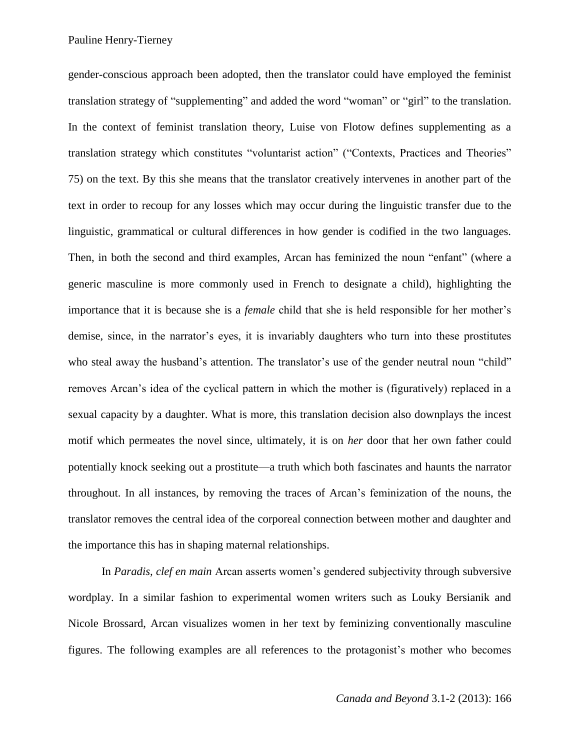gender-conscious approach been adopted, then the translator could have employed the feminist translation strategy of "supplementing" and added the word "woman" or "girl" to the translation. In the context of feminist translation theory, Luise von Flotow defines supplementing as a translation strategy which constitutes "voluntarist action" ("Contexts, Practices and Theories" 75) on the text. By this she means that the translator creatively intervenes in another part of the text in order to recoup for any losses which may occur during the linguistic transfer due to the linguistic, grammatical or cultural differences in how gender is codified in the two languages. Then, in both the second and third examples, Arcan has feminized the noun "enfant" (where a generic masculine is more commonly used in French to designate a child), highlighting the importance that it is because she is a *female* child that she is held responsible for her mother's demise, since, in the narrator's eyes, it is invariably daughters who turn into these prostitutes who steal away the husband's attention. The translator's use of the gender neutral noun "child" removes Arcan's idea of the cyclical pattern in which the mother is (figuratively) replaced in a sexual capacity by a daughter. What is more, this translation decision also downplays the incest motif which permeates the novel since, ultimately, it is on *her* door that her own father could potentially knock seeking out a prostitute—a truth which both fascinates and haunts the narrator throughout. In all instances, by removing the traces of Arcan's feminization of the nouns, the translator removes the central idea of the corporeal connection between mother and daughter and the importance this has in shaping maternal relationships.

In *Paradis, clef en main* Arcan asserts women's gendered subjectivity through subversive wordplay. In a similar fashion to experimental women writers such as Louky Bersianik and Nicole Brossard, Arcan visualizes women in her text by feminizing conventionally masculine figures. The following examples are all references to the protagonist's mother who becomes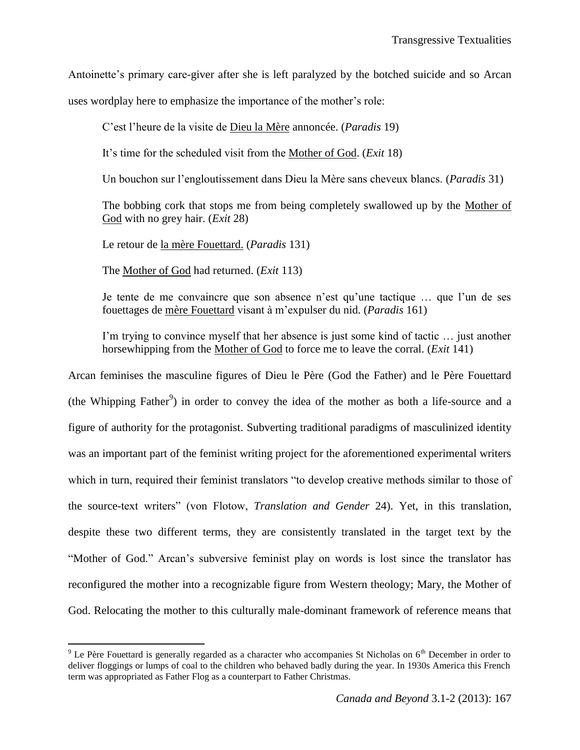Antoinette's primary care-giver after she is left paralyzed by the botched suicide and so Arcan

uses wordplay here to emphasize the importance of the mother's role:

C'est l'heure de la visite de Dieu la Mère annoncée. (*Paradis* 19)

It's time for the scheduled visit from the Mother of God. (*Exit* 18)

Un bouchon sur l'engloutissement dans Dieu la Mère sans cheveux blancs. (*Paradis* 31)

The bobbing cork that stops me from being completely swallowed up by the Mother of God with no grey hair. (*Exit* 28)

Le retour de la mère Fouettard. (*Paradis* 131)

The Mother of God had returned. (*Exit* 113)

Je tente de me convaincre que son absence n'est qu'une tactique … que l'un de ses fouettages de mère Fouettard visant à m'expulser du nid. (*Paradis* 161)

I'm trying to convince myself that her absence is just some kind of tactic … just another horsewhipping from the Mother of God to force me to leave the corral. (*Exit* 141)

Arcan feminises the masculine figures of Dieu le Père (God the Father) and le Père Fouettard (the Whipping Father<sup>9</sup>) in order to convey the idea of the mother as both a life-source and a figure of authority for the protagonist. Subverting traditional paradigms of masculinized identity was an important part of the feminist writing project for the aforementioned experimental writers which in turn, required their feminist translators "to develop creative methods similar to those of the source-text writers" (von Flotow, *Translation and Gender* 24). Yet, in this translation, despite these two different terms, they are consistently translated in the target text by the "Mother of God." Arcan's subversive feminist play on words is lost since the translator has reconfigured the mother into a recognizable figure from Western theology; Mary, the Mother of God. Relocating the mother to this culturally male-dominant framework of reference means that

 $\overline{\phantom{a}}$  $9$  Le Père Fouettard is generally regarded as a character who accompanies St Nicholas on  $6<sup>th</sup>$  December in order to deliver floggings or lumps of coal to the children who behaved badly during the year. In 1930s America this French term was appropriated as Father Flog as a counterpart to Father Christmas.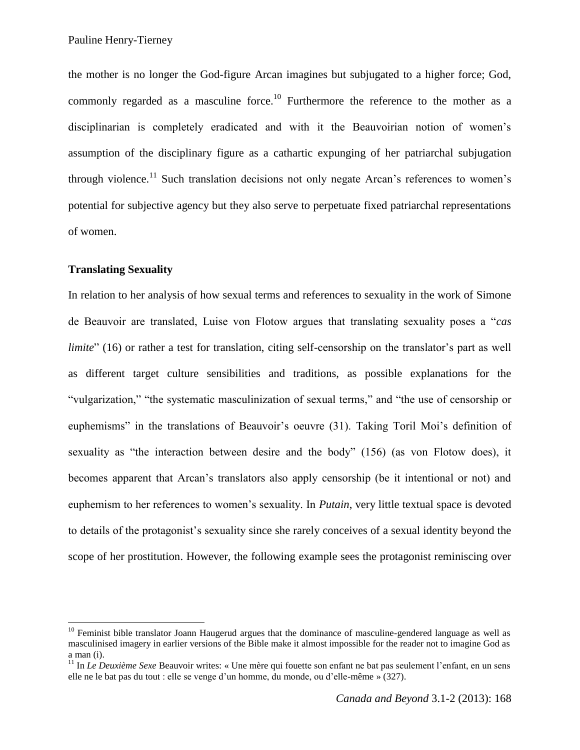the mother is no longer the God-figure Arcan imagines but subjugated to a higher force; God, commonly regarded as a masculine force.<sup>10</sup> Furthermore the reference to the mother as a disciplinarian is completely eradicated and with it the Beauvoirian notion of women's assumption of the disciplinary figure as a cathartic expunging of her patriarchal subjugation through violence.<sup>11</sup> Such translation decisions not only negate Arcan's references to women's potential for subjective agency but they also serve to perpetuate fixed patriarchal representations of women.

#### **Translating Sexuality**

 $\overline{a}$ 

In relation to her analysis of how sexual terms and references to sexuality in the work of Simone de Beauvoir are translated, Luise von Flotow argues that translating sexuality poses a "*cas limite*" (16) or rather a test for translation, citing self-censorship on the translator's part as well as different target culture sensibilities and traditions, as possible explanations for the "vulgarization," "the systematic masculinization of sexual terms," and "the use of censorship or euphemisms" in the translations of Beauvoir's oeuvre (31). Taking Toril Moi's definition of sexuality as "the interaction between desire and the body" (156) (as von Flotow does), it becomes apparent that Arcan's translators also apply censorship (be it intentional or not) and euphemism to her references to women's sexuality. In *Putain*, very little textual space is devoted to details of the protagonist's sexuality since she rarely conceives of a sexual identity beyond the scope of her prostitution. However, the following example sees the protagonist reminiscing over

 $10$  Feminist bible translator Joann Haugerud argues that the dominance of masculine-gendered language as well as masculinised imagery in earlier versions of the Bible make it almost impossible for the reader not to imagine God as a man (i).

<sup>11</sup> In *Le Deuxième Sexe* Beauvoir writes: « Une mère qui fouette son enfant ne bat pas seulement l'enfant, en un sens elle ne le bat pas du tout : elle se venge d'un homme, du monde, ou d'elle-même » (327).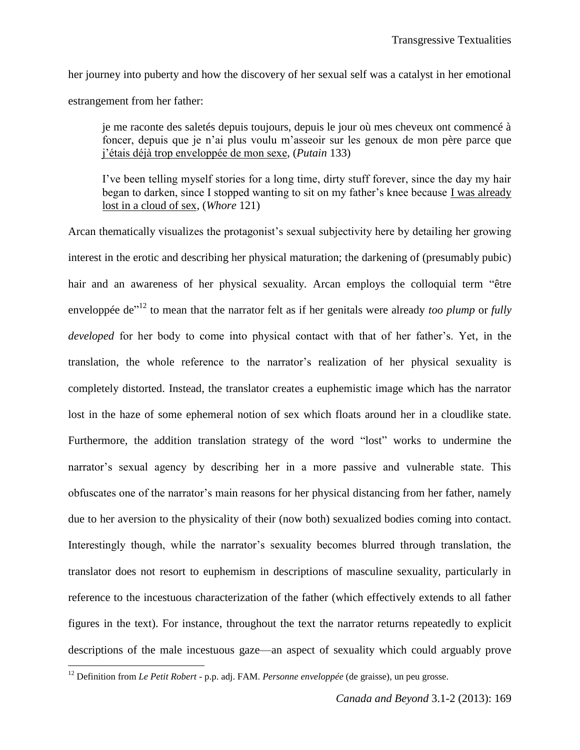her journey into puberty and how the discovery of her sexual self was a catalyst in her emotional estrangement from her father:

je me raconte des saletés depuis toujours, depuis le jour où mes cheveux ont commencé à foncer, depuis que je n'ai plus voulu m'asseoir sur les genoux de mon père parce que j'étais déjà trop enveloppée de mon sexe, (*Putain* 133)

I've been telling myself stories for a long time, dirty stuff forever, since the day my hair began to darken, since I stopped wanting to sit on my father's knee because I was already lost in a cloud of sex, (*Whore* 121)

Arcan thematically visualizes the protagonist's sexual subjectivity here by detailing her growing interest in the erotic and describing her physical maturation; the darkening of (presumably pubic) hair and an awareness of her physical sexuality. Arcan employs the colloquial term "être enveloppée de<sup>"12</sup> to mean that the narrator felt as if her genitals were already *too plump* or *fully developed* for her body to come into physical contact with that of her father's. Yet, in the translation, the whole reference to the narrator's realization of her physical sexuality is completely distorted. Instead, the translator creates a euphemistic image which has the narrator lost in the haze of some ephemeral notion of sex which floats around her in a cloudlike state. Furthermore, the addition translation strategy of the word "lost" works to undermine the narrator's sexual agency by describing her in a more passive and vulnerable state. This obfuscates one of the narrator's main reasons for her physical distancing from her father, namely due to her aversion to the physicality of their (now both) sexualized bodies coming into contact. Interestingly though, while the narrator's sexuality becomes blurred through translation, the translator does not resort to euphemism in descriptions of masculine sexuality, particularly in reference to the incestuous characterization of the father (which effectively extends to all father figures in the text). For instance, throughout the text the narrator returns repeatedly to explicit descriptions of the male incestuous gaze—an aspect of sexuality which could arguably prove

 $\overline{\phantom{a}}$ 

<sup>12</sup> Definition from *Le Petit Robert -* p.p. adj. FAM. *Personne enveloppée* (de graisse), un peu grosse.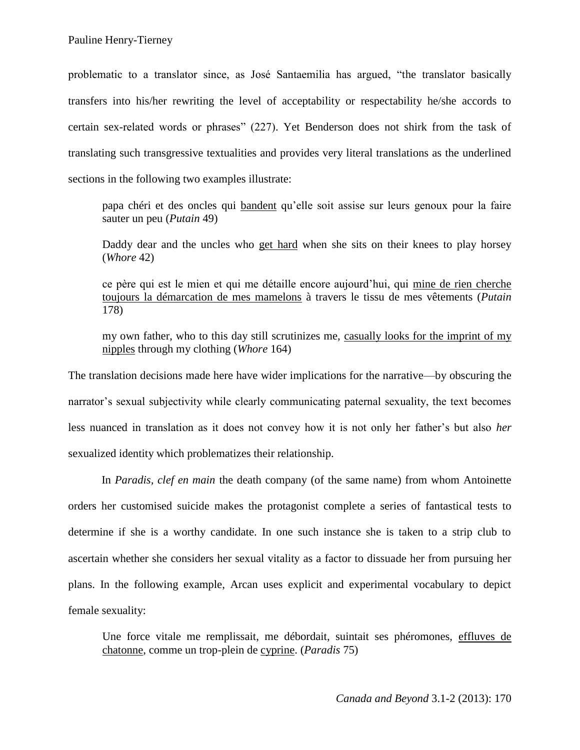problematic to a translator since, as José Santaemilia has argued, "the translator basically transfers into his/her rewriting the level of acceptability or respectability he/she accords to certain sex-related words or phrases" (227). Yet Benderson does not shirk from the task of translating such transgressive textualities and provides very literal translations as the underlined sections in the following two examples illustrate:

papa chéri et des oncles qui bandent qu'elle soit assise sur leurs genoux pour la faire sauter un peu (*Putain* 49)

Daddy dear and the uncles who get hard when she sits on their knees to play horsey (*Whore* 42)

ce père qui est le mien et qui me détaille encore aujourd'hui, qui mine de rien cherche toujours la démarcation de mes mamelons à travers le tissu de mes vêtements (*Putain*  178)

my own father, who to this day still scrutinizes me, casually looks for the imprint of my nipples through my clothing (*Whore* 164)

The translation decisions made here have wider implications for the narrative—by obscuring the narrator's sexual subjectivity while clearly communicating paternal sexuality, the text becomes less nuanced in translation as it does not convey how it is not only her father's but also *her* sexualized identity which problematizes their relationship.

In *Paradis, clef en main* the death company (of the same name) from whom Antoinette orders her customised suicide makes the protagonist complete a series of fantastical tests to determine if she is a worthy candidate. In one such instance she is taken to a strip club to ascertain whether she considers her sexual vitality as a factor to dissuade her from pursuing her plans. In the following example, Arcan uses explicit and experimental vocabulary to depict female sexuality:

Une force vitale me remplissait, me débordait, suintait ses phéromones, effluves de chatonne, comme un trop-plein de cyprine. (*Paradis* 75)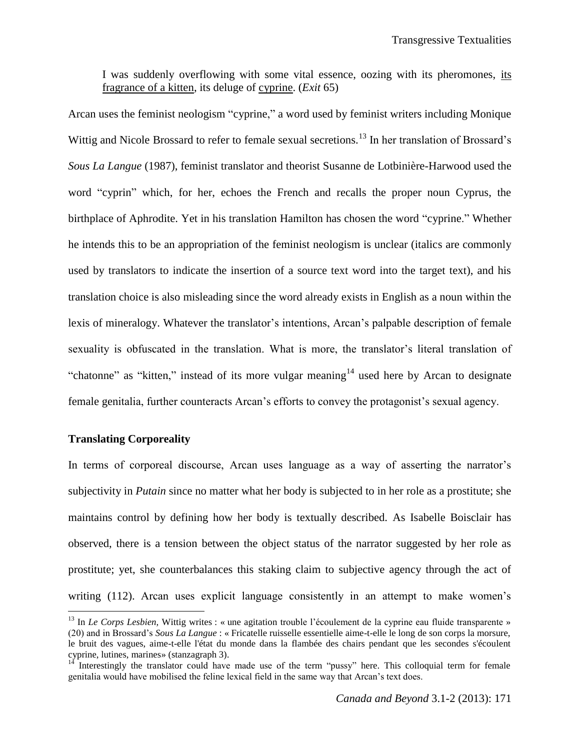I was suddenly overflowing with some vital essence, oozing with its pheromones, its fragrance of a kitten, its deluge of cyprine. (*Exit* 65)

Arcan uses the feminist neologism "cyprine," a word used by feminist writers including Monique Wittig and Nicole Brossard to refer to female sexual secretions.<sup>13</sup> In her translation of Brossard's *Sous La Langue* (1987), feminist translator and theorist Susanne de Lotbinière-Harwood used the word "cyprin" which, for her, echoes the French and recalls the proper noun Cyprus, the birthplace of Aphrodite. Yet in his translation Hamilton has chosen the word "cyprine." Whether he intends this to be an appropriation of the feminist neologism is unclear (italics are commonly used by translators to indicate the insertion of a source text word into the target text), and his translation choice is also misleading since the word already exists in English as a noun within the lexis of mineralogy. Whatever the translator's intentions, Arcan's palpable description of female sexuality is obfuscated in the translation. What is more, the translator's literal translation of "chatonne" as "kitten," instead of its more vulgar meaning<sup>14</sup> used here by Arcan to designate female genitalia, further counteracts Arcan's efforts to convey the protagonist's sexual agency.

## **Translating Corporeality**

l

In terms of corporeal discourse, Arcan uses language as a way of asserting the narrator's subjectivity in *Putain* since no matter what her body is subjected to in her role as a prostitute; she maintains control by defining how her body is textually described. As Isabelle Boisclair has observed, there is a tension between the object status of the narrator suggested by her role as prostitute; yet, she counterbalances this staking claim to subjective agency through the act of writing (112). Arcan uses explicit language consistently in an attempt to make women's

<sup>&</sup>lt;sup>13</sup> In *Le Corps Lesbien*, Wittig writes : « une agitation trouble l'écoulement de la cyprine eau fluide transparente » (20) and in Brossard's *Sous La Langue* : « Fricatelle ruisselle essentielle aime-t-elle le long de son corps la morsure, le bruit des vagues, aime-t-elle l'état du monde dans la flambée des chairs pendant que les secondes s'écoulent cyprine, lutines, marines» (stanzagraph 3).

Interestingly the translator could have made use of the term "pussy" here. This colloquial term for female genitalia would have mobilised the feline lexical field in the same way that Arcan's text does.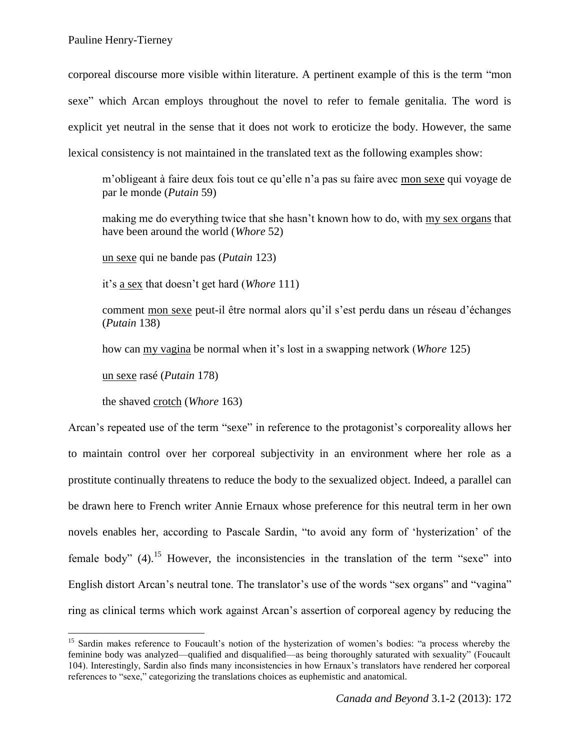corporeal discourse more visible within literature. A pertinent example of this is the term "mon sexe" which Arcan employs throughout the novel to refer to female genitalia. The word is explicit yet neutral in the sense that it does not work to eroticize the body. However, the same lexical consistency is not maintained in the translated text as the following examples show:

m'obligeant à faire deux fois tout ce qu'elle n'a pas su faire avec mon sexe qui voyage de par le monde (*Putain* 59)

making me do everything twice that she hasn't known how to do, with my sex organs that have been around the world (*Whore* 52)

un sexe qui ne bande pas (*Putain* 123)

it's a sex that doesn't get hard (*Whore* 111)

comment mon sexe peut-il être normal alors qu'il s'est perdu dans un réseau d'échanges (*Putain* 138)

how can my vagina be normal when it's lost in a swapping network (*Whore* 125)

un sexe rasé (*Putain* 178)

 $\overline{\phantom{a}}$ 

the shaved crotch (*Whore* 163)

Arcan's repeated use of the term "sexe" in reference to the protagonist's corporeality allows her to maintain control over her corporeal subjectivity in an environment where her role as a prostitute continually threatens to reduce the body to the sexualized object. Indeed, a parallel can be drawn here to French writer Annie Ernaux whose preference for this neutral term in her own novels enables her, according to Pascale Sardin, "to avoid any form of 'hysterization' of the female body"  $(4)$ .<sup>15</sup> However, the inconsistencies in the translation of the term "sexe" into English distort Arcan's neutral tone. The translator's use of the words "sex organs" and "vagina" ring as clinical terms which work against Arcan's assertion of corporeal agency by reducing the

<sup>&</sup>lt;sup>15</sup> Sardin makes reference to Foucault's notion of the hysterization of women's bodies: "a process whereby the feminine body was analyzed—qualified and disqualified—as being thoroughly saturated with sexuality" (Foucault 104). Interestingly, Sardin also finds many inconsistencies in how Ernaux's translators have rendered her corporeal references to "sexe," categorizing the translations choices as euphemistic and anatomical.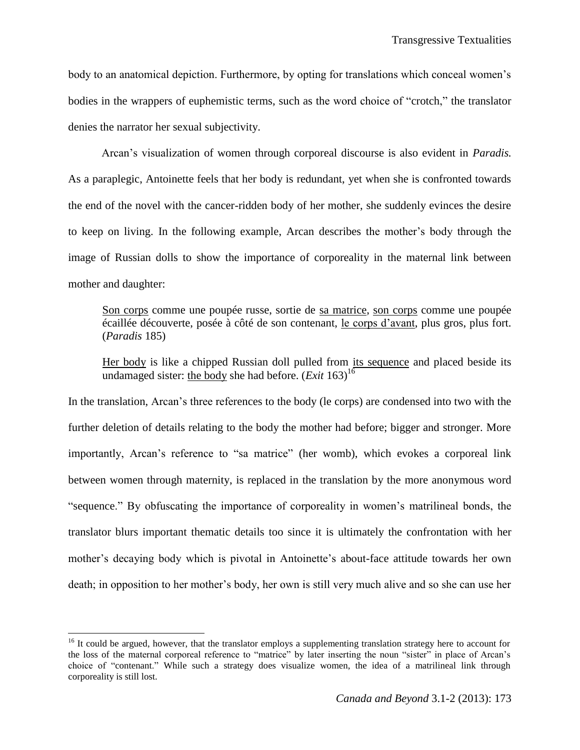body to an anatomical depiction. Furthermore, by opting for translations which conceal women's bodies in the wrappers of euphemistic terms, such as the word choice of "crotch," the translator denies the narrator her sexual subjectivity.

Arcan's visualization of women through corporeal discourse is also evident in *Paradis.* As a paraplegic, Antoinette feels that her body is redundant, yet when she is confronted towards the end of the novel with the cancer-ridden body of her mother, she suddenly evinces the desire to keep on living. In the following example, Arcan describes the mother's body through the image of Russian dolls to show the importance of corporeality in the maternal link between mother and daughter:

Son corps comme une poupée russe, sortie de sa matrice, son corps comme une poupée écaillée découverte, posée à côté de son contenant, le corps d'avant, plus gros, plus fort. (*Paradis* 185)

Her body is like a chipped Russian doll pulled from its sequence and placed beside its undamaged sister: the body she had before.  $(Ex \cdot i \cdot 163)^{16}$ 

In the translation, Arcan's three references to the body (le corps) are condensed into two with the further deletion of details relating to the body the mother had before; bigger and stronger. More importantly, Arcan's reference to "sa matrice" (her womb), which evokes a corporeal link between women through maternity, is replaced in the translation by the more anonymous word "sequence." By obfuscating the importance of corporeality in women's matrilineal bonds, the translator blurs important thematic details too since it is ultimately the confrontation with her mother's decaying body which is pivotal in Antoinette's about-face attitude towards her own death; in opposition to her mother's body, her own is still very much alive and so she can use her

 $\overline{\phantom{a}}$ 

<sup>&</sup>lt;sup>16</sup> It could be argued, however, that the translator employs a supplementing translation strategy here to account for the loss of the maternal corporeal reference to "matrice" by later inserting the noun "sister" in place of Arcan's choice of "contenant." While such a strategy does visualize women, the idea of a matrilineal link through corporeality is still lost.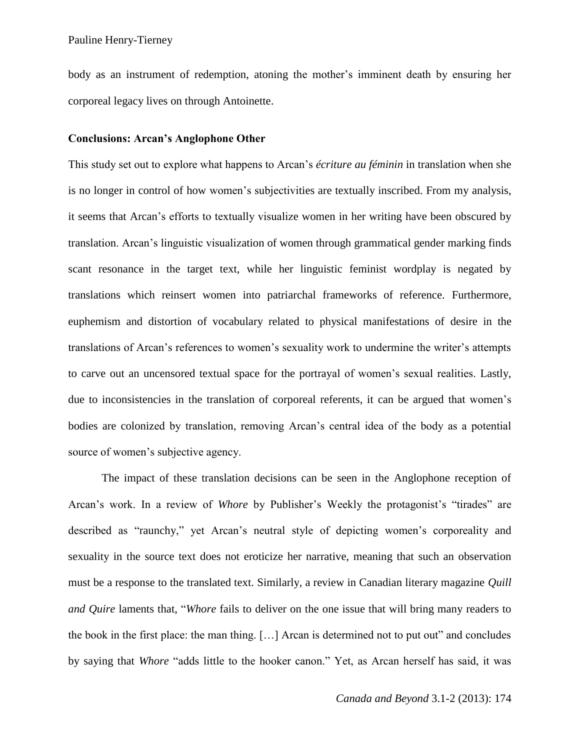Pauline Henry-Tierney

body as an instrument of redemption, atoning the mother's imminent death by ensuring her corporeal legacy lives on through Antoinette.

#### **Conclusions: Arcan's Anglophone Other**

This study set out to explore what happens to Arcan's *écriture au féminin* in translation when she is no longer in control of how women's subjectivities are textually inscribed. From my analysis, it seems that Arcan's efforts to textually visualize women in her writing have been obscured by translation. Arcan's linguistic visualization of women through grammatical gender marking finds scant resonance in the target text, while her linguistic feminist wordplay is negated by translations which reinsert women into patriarchal frameworks of reference. Furthermore, euphemism and distortion of vocabulary related to physical manifestations of desire in the translations of Arcan's references to women's sexuality work to undermine the writer's attempts to carve out an uncensored textual space for the portrayal of women's sexual realities. Lastly, due to inconsistencies in the translation of corporeal referents, it can be argued that women's bodies are colonized by translation, removing Arcan's central idea of the body as a potential source of women's subjective agency.

The impact of these translation decisions can be seen in the Anglophone reception of Arcan's work. In a review of *Whore* by Publisher's Weekly the protagonist's "tirades" are described as "raunchy," yet Arcan's neutral style of depicting women's corporeality and sexuality in the source text does not eroticize her narrative, meaning that such an observation must be a response to the translated text. Similarly, a review in Canadian literary magazine *Quill and Quire* laments that, "*Whore* fails to deliver on the one issue that will bring many readers to the book in the first place: the man thing. […] Arcan is determined not to put out" and concludes by saying that *Whore* "adds little to the hooker canon." Yet, as Arcan herself has said, it was

*Canada and Beyond* 3.1-2 (2013): 174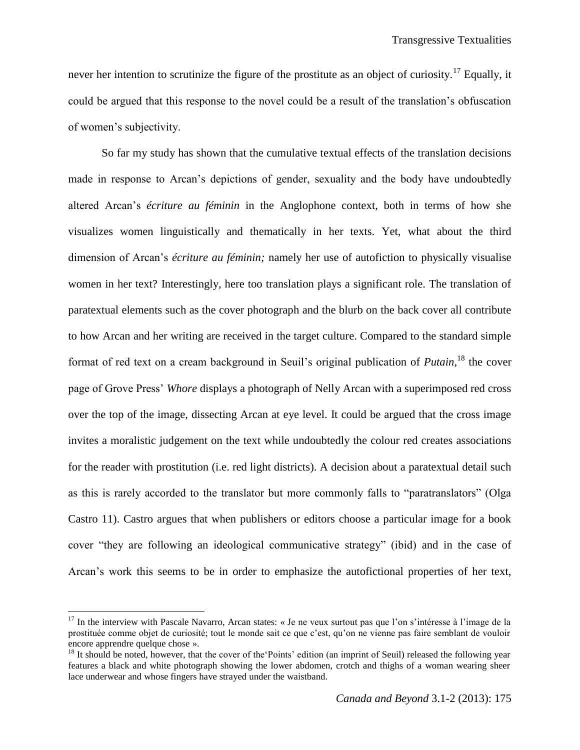never her intention to scrutinize the figure of the prostitute as an object of curiosity.<sup>17</sup> Equally, it could be argued that this response to the novel could be a result of the translation's obfuscation of women's subjectivity.

So far my study has shown that the cumulative textual effects of the translation decisions made in response to Arcan's depictions of gender, sexuality and the body have undoubtedly altered Arcan's *écriture au féminin* in the Anglophone context, both in terms of how she visualizes women linguistically and thematically in her texts. Yet, what about the third dimension of Arcan's *écriture au féminin;* namely her use of autofiction to physically visualise women in her text? Interestingly, here too translation plays a significant role. The translation of paratextual elements such as the cover photograph and the blurb on the back cover all contribute to how Arcan and her writing are received in the target culture. Compared to the standard simple format of red text on a cream background in Seuil's original publication of *Putain*,<sup>18</sup> the cover page of Grove Press' *Whore* displays a photograph of Nelly Arcan with a superimposed red cross over the top of the image, dissecting Arcan at eye level. It could be argued that the cross image invites a moralistic judgement on the text while undoubtedly the colour red creates associations for the reader with prostitution (i.e. red light districts). A decision about a paratextual detail such as this is rarely accorded to the translator but more commonly falls to "paratranslators" (Olga Castro 11). Castro argues that when publishers or editors choose a particular image for a book cover "they are following an ideological communicative strategy" (ibid) and in the case of Arcan's work this seems to be in order to emphasize the autofictional properties of her text,

l

 $17$  In the interview with Pascale Navarro, Arcan states: « Je ne veux surtout pas que l'on s'intéresse à l'image de la prostituée comme objet de curiosité; tout le monde sait ce que c'est, qu'on ne vienne pas faire semblant de vouloir encore apprendre quelque chose ».

<sup>&</sup>lt;sup>18</sup> It should be noted, however, that the cover of the Points' edition (an imprint of Seuil) released the following year features a black and white photograph showing the lower abdomen, crotch and thighs of a woman wearing sheer lace underwear and whose fingers have strayed under the waistband.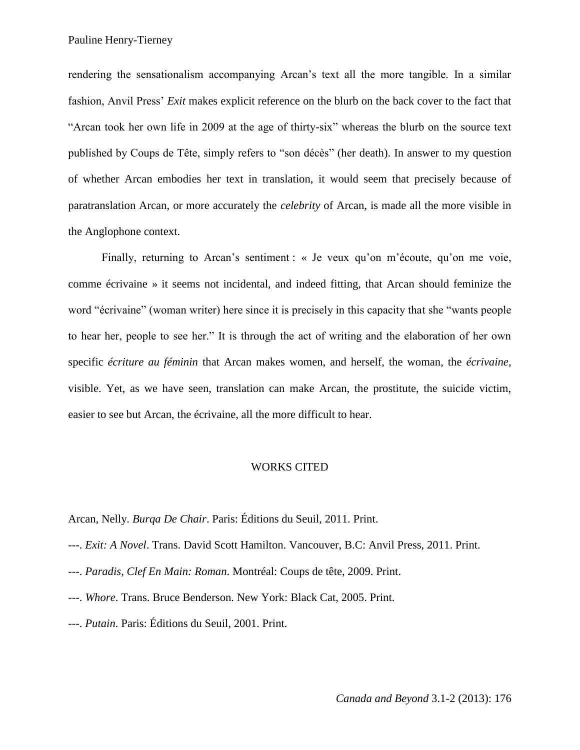rendering the sensationalism accompanying Arcan's text all the more tangible. In a similar fashion, Anvil Press' *Exit* makes explicit reference on the blurb on the back cover to the fact that "Arcan took her own life in 2009 at the age of thirty-six" whereas the blurb on the source text published by Coups de Tête, simply refers to "son décès" (her death). In answer to my question of whether Arcan embodies her text in translation, it would seem that precisely because of paratranslation Arcan, or more accurately the *celebrity* of Arcan, is made all the more visible in the Anglophone context.

Finally, returning to Arcan's sentiment : « Je veux qu'on m'écoute, qu'on me voie, comme écrivaine » it seems not incidental, and indeed fitting, that Arcan should feminize the word "écrivaine" (woman writer) here since it is precisely in this capacity that she "wants people to hear her, people to see her." It is through the act of writing and the elaboration of her own specific *écriture au féminin* that Arcan makes women, and herself, the woman, the *écrivaine*, visible. Yet, as we have seen, translation can make Arcan, the prostitute, the suicide victim, easier to see but Arcan, the écrivaine, all the more difficult to hear.

#### WORKS CITED

Arcan, Nelly. *Burqa De Chair*. Paris: Éditions du Seuil, 2011. Print.

- ---. *Exit: A Novel*. Trans. David Scott Hamilton. Vancouver, B.C: Anvil Press, 2011. Print.
- ---. *Paradis, Clef En Main: Roman*. Montréal: Coups de tête, 2009. Print.
- ---. *Whore*. Trans. Bruce Benderson. New York: Black Cat, 2005. Print.
- ---. *Putain*. Paris: Éditions du Seuil, 2001. Print.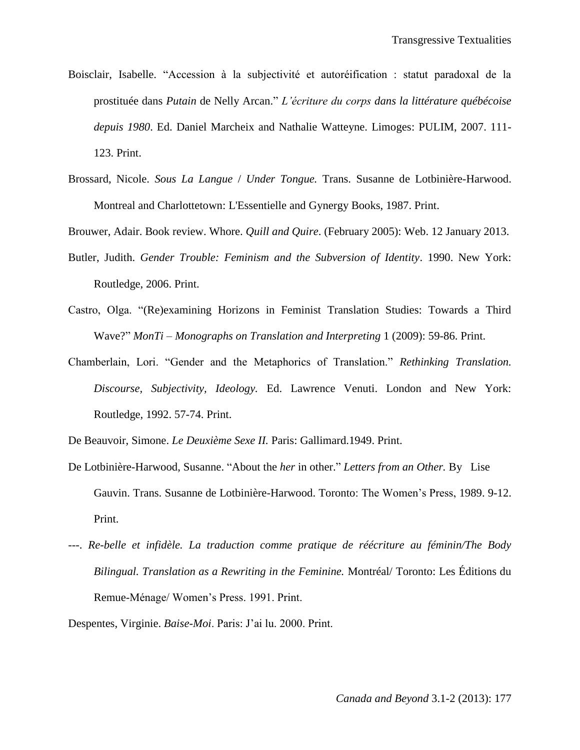- Boisclair, Isabelle. "Accession à la subjectivité et autoréification : statut paradoxal de la prostituée dans *Putain* de Nelly Arcan." *L'écriture du corps dans la littérature québécoise depuis 1980*. Ed. Daniel Marcheix and Nathalie Watteyne. Limoges: PULIM, 2007. 111- 123. Print.
- Brossard, Nicole. *Sous La Langue* / *Under Tongue.* Trans. Susanne de Lotbinière-Harwood. Montreal and Charlottetown: L'Essentielle and Gynergy Books, 1987. Print.

Brouwer, Adair. Book review. Whore. *Quill and Quire*. (February 2005): Web. 12 January 2013.

- Butler, Judith. *Gender Trouble: Feminism and the Subversion of Identity*. 1990. New York: Routledge, 2006. Print.
- Castro, Olga. "(Re)examining Horizons in Feminist Translation Studies: Towards a Third Wave?" *MonTi – Monographs on Translation and Interpreting* 1 (2009): 59-86. Print.
- Chamberlain, Lori. "Gender and the Metaphorics of Translation." *Rethinking Translation. Discourse, Subjectivity, Ideology.* Ed. Lawrence Venuti. London and New York: Routledge, 1992. 57-74. Print.

De Beauvoir, Simone. *Le Deuxième Sexe II.* Paris: Gallimard.1949. Print.

- De Lotbinière-Harwood, Susanne. "About the *her* in other." *Letters from an Other.* By Lise Gauvin. Trans. Susanne de Lotbinière-Harwood. Toronto: The Women's Press, 1989. 9-12. Print.
- ---. *Re-belle et infidèle. La traduction comme pratique de réécriture au féminin/The Body Bilingual. Translation as a Rewriting in the Feminine.* Montréal/ Toronto: Les Éditions du Remue-Ménage/ Women's Press. 1991. Print.

Despentes, Virginie. *Baise-Moi*. Paris: J'ai lu. 2000. Print.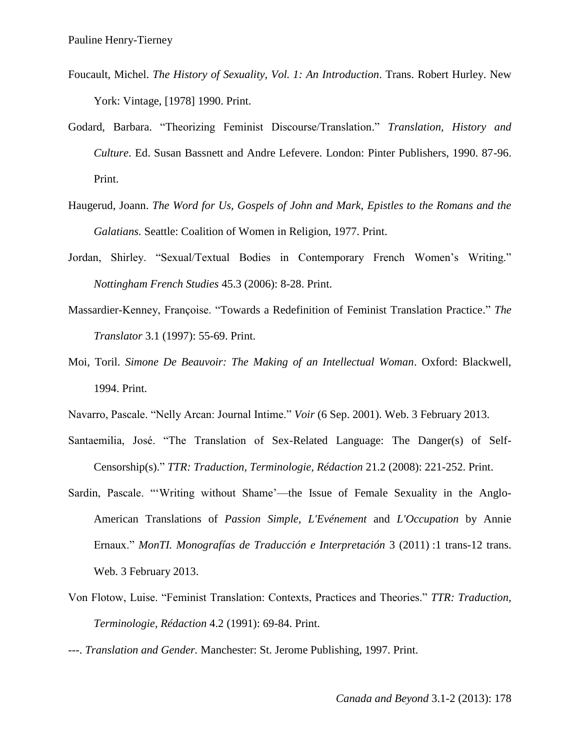- Foucault, Michel. *The History of Sexuality, Vol. 1: An Introduction*. Trans. Robert Hurley. New York: Vintage, [1978] 1990. Print.
- Godard, Barbara. "Theorizing Feminist Discourse/Translation." *Translation, History and Culture*. Ed. Susan Bassnett and Andre Lefevere. London: Pinter Publishers, 1990. 87-96. Print.
- Haugerud, Joann. *The Word for Us, Gospels of John and Mark, Epistles to the Romans and the Galatians.* Seattle: Coalition of Women in Religion, 1977. Print.
- Jordan, Shirley. "Sexual/Textual Bodies in Contemporary French Women's Writing." *Nottingham French Studies* 45.3 (2006): 8-28. Print.
- Massardier-Kenney, Françoise. "Towards a Redefinition of Feminist Translation Practice." *The Translator* 3.1 (1997): 55-69. Print.
- Moi, Toril. *Simone De Beauvoir: The Making of an Intellectual Woman*. Oxford: Blackwell, 1994. Print.
- Navarro, Pascale. "Nelly Arcan: Journal Intime." *Voir* (6 Sep. 2001). Web. 3 February 2013.
- Santaemilia, José. "The Translation of Sex-Related Language: The Danger(s) of Self-Censorship(s)." *TTR: Traduction, Terminologie, Rédaction* 21.2 (2008): 221-252. Print.
- Sardin, Pascale. "'Writing without Shame'—the Issue of Female Sexuality in the Anglo-American Translations of *Passion Simple, L'Evénement* and *L'Occupation* by Annie Ernaux." *MonTI. Monografías de Traducción e Interpretación* 3 (2011) :1 trans-12 trans. Web. 3 February 2013.
- Von Flotow, Luise. "Feminist Translation: Contexts, Practices and Theories." *TTR: Traduction, Terminologie, Rédaction* 4.2 (1991): 69-84. Print.
- ---. *Translation and Gender.* Manchester: St. Jerome Publishing, 1997. Print.